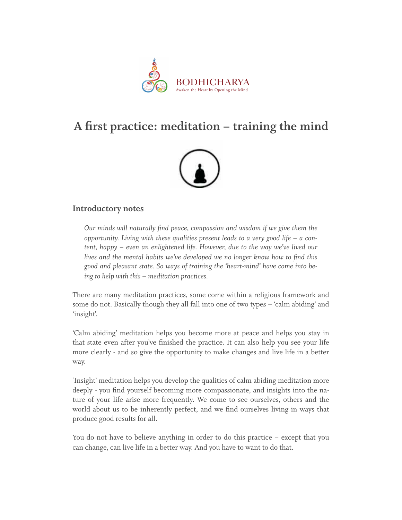

## **A first practice: meditation – training the mind**



## **Introductory notes**

*Our minds will naturally find peace, compassion and wisdom if we give them the opportunity. Living with these qualities present leads to a very good life – a content, happy – even an enlightened life. However, due to the way we've lived our lives and the mental habits we've developed we no longer know how to find this good and pleasant state. So ways of training the 'heart-mind' have come into being to help with this – meditation practices.*

There are many meditation practices, some come within a religious framework and some do not. Basically though they all fall into one of two types – 'calm abiding' and 'insight'.

'Calm abiding' meditation helps you become more at peace and helps you stay in that state even after you've finished the practice. It can also help you see your life more clearly - and so give the opportunity to make changes and live life in a better way.

'Insight' meditation helps you develop the qualities of calm abiding meditation more deeply - you find yourself becoming more compassionate, and insights into the nature of your life arise more frequently. We come to see ourselves, others and the world about us to be inherently perfect, and we find ourselves living in ways that produce good results for all.

You do not have to believe anything in order to do this practice – except that you can change, can live life in a better way. And you have to want to do that.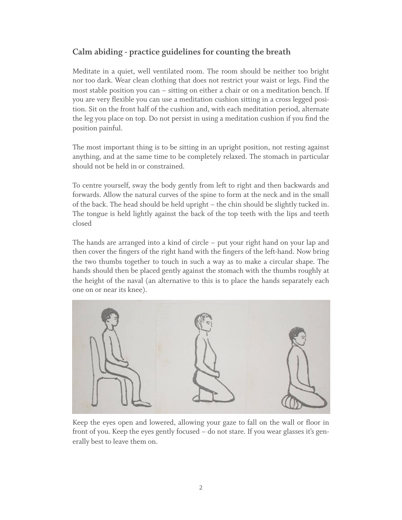## **Calm abiding - practice guidelines for counting the breath**

Meditate in a quiet, well ventilated room. The room should be neither too bright nor too dark. Wear clean clothing that does not restrict your waist or legs. Find the most stable position you can – sitting on either a chair or on a meditation bench. If you are very flexible you can use a meditation cushion sitting in a cross legged position. Sit on the front half of the cushion and, with each meditation period, alternate the leg you place on top. Do not persist in using a meditation cushion if you find the position painful.

The most important thing is to be sitting in an upright position, not resting against anything, and at the same time to be completely relaxed. The stomach in particular should not be held in or constrained.

To centre yourself, sway the body gently from left to right and then backwards and forwards. Allow the natural curves of the spine to form at the neck and in the small of the back. The head should be held upright – the chin should be slightly tucked in. The tongue is held lightly against the back of the top teeth with the lips and teeth closed

The hands are arranged into a kind of circle – put your right hand on your lap and then cover the fingers of the right hand with the fingers of the left-hand. Now bring the two thumbs together to touch in such a way as to make a circular shape. The hands should then be placed gently against the stomach with the thumbs roughly at the height of the naval (an alternative to this is to place the hands separately each one on or near its knee).



Keep the eyes open and lowered, allowing your gaze to fall on the wall or floor in front of you. Keep the eyes gently focused – do not stare. If you wear glasses it's generally best to leave them on.